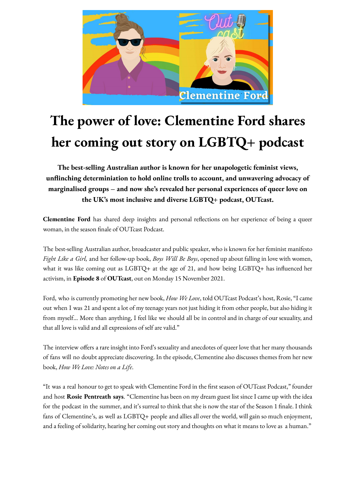

## **The power of love: Clementine Ford shares her coming out story on LGBTQ+ podcast**

**The best-selling Australian author is known for her unapologetic feminist views, unflinching determiniation to hold online trolls to account, and unwavering advocacy of marginalised groups – and now she's revealed her personal experiences of queer love on the UK's most inclusive and diverse LGBTQ+ podcast, OUTcast.**

**Clementine Ford** has shared deep insights and personal reflections on her experience of being a queer woman, in the season finale of OUTcast Podcast.

The best-selling Australian author, broadcaster and public speaker, who is known for her feminist manifesto *Fight Like a Girl,* and her follow-up book, *Boys Will Be Boys*, opened up about falling in love with women, what it was like coming out as LGBTQ+ at the age of 21, and how being LGBTQ+ has influenced her activism, in **Episode 8** of **OUTcast**, out on Monday 15 November 2021.

Ford, who is currently promoting her new book, *How We Love*, told OUTcast Podcast's host, Rosie, "I came out when I was 21 and spent a lot of my teenage years not just hiding it from other people, but also hiding it from myself… More than anything, I feel like we should all be in control and in charge of our sexuality, and that all love is valid and all expressions of self are valid."

The interview offers a rare insight into Ford's sexuality and anecdotes of queer love that her many thousands of fans will no doubt appreciate discovering. In the episode, Clementine also discusses themes from her new book, *How We Love: Notes on a Life*.

"It was a real honour to get to speak with Clementine Ford in the first season of OUTcast Podcast," founder and host **Rosie Pentreath says**. "Clementine has been on my dream guest list since I came up with the idea for the podcast in the summer, and it's surreal to think that she is now the star of the Season 1 finale. I think fans of Clementine's, as well as LGBTQ+ people and allies all over the world, will gain so much enjoyment, and a feeling of solidarity, hearing her coming out story and thoughts on what it means to love as a human."